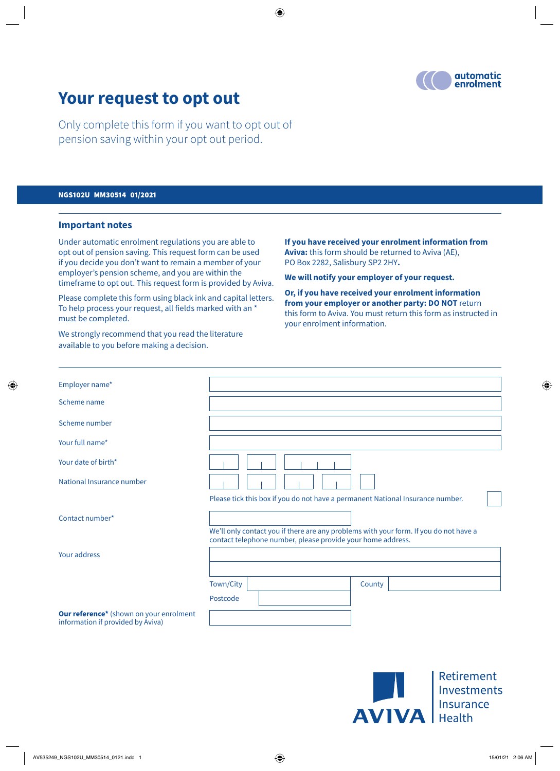

# **Your request to opt out**

Only complete this form if you want to opt out of pension saving within your opt out period.

#### NGS102U MM30514 01/2021

#### **Important notes**

Under automatic enrolment regulations you are able to opt out of pension saving. This request form can be used if you decide you don't want to remain a member of your employer's pension scheme, and you are within the timeframe to opt out. This request form is provided by Aviva.

Please complete this form using black ink and capital letters. To help process your request, all fields marked with an \* must be completed.

We strongly recommend that you read the literature available to you before making a decision.

**If you have received your enrolment information from Aviva:** this form should be returned to Aviva (AE), PO Box 2282, Salisbury SP2 2HY**.**

**We will notify your employer of your request.**

**Or, if you have received your enrolment information from your employer or another party: DO NOT** return this form to Aviva. You must return this form as instructed in your enrolment information.

| Employer name*                                                               |                                                                                                                                                      |
|------------------------------------------------------------------------------|------------------------------------------------------------------------------------------------------------------------------------------------------|
| Scheme name                                                                  |                                                                                                                                                      |
| Scheme number                                                                |                                                                                                                                                      |
| Your full name*                                                              |                                                                                                                                                      |
| Your date of birth*                                                          |                                                                                                                                                      |
| National Insurance number                                                    |                                                                                                                                                      |
|                                                                              | Please tick this box if you do not have a permanent National Insurance number.                                                                       |
| Contact number*                                                              |                                                                                                                                                      |
|                                                                              | We'll only contact you if there are any problems with your form. If you do not have a<br>contact telephone number, please provide your home address. |
| Your address                                                                 |                                                                                                                                                      |
|                                                                              |                                                                                                                                                      |
|                                                                              | Town/City<br>County                                                                                                                                  |
|                                                                              | Postcode                                                                                                                                             |
| Our reference* (shown on your enrolment<br>information if provided by Aviva) |                                                                                                                                                      |
|                                                                              |                                                                                                                                                      |